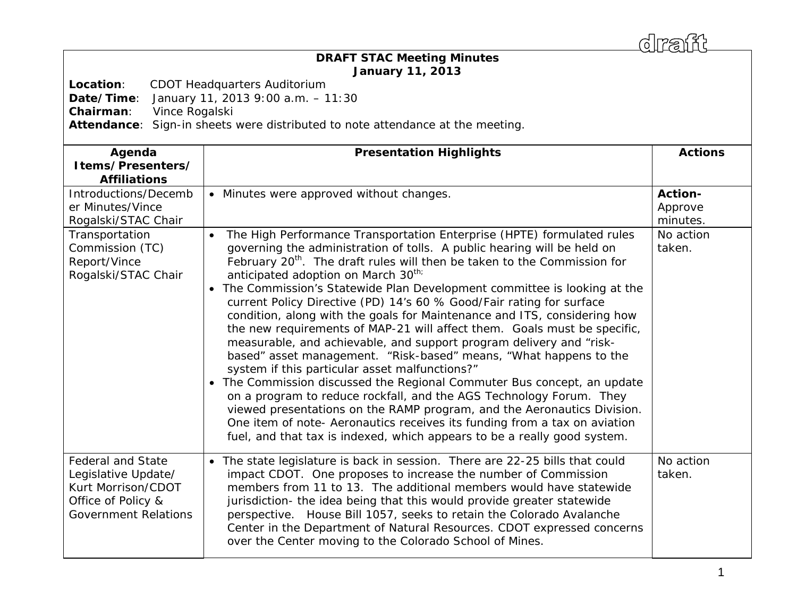draff

## *DRAFT* **STAC Meeting Minutes January 11, 2013**

**Location**: CDOT Headquarters Auditorium

**Date/Time**: January 11, 2013 9:00 a.m. – 11:30

**Chairman**: Vince Rogalski

**Attendance**: Sign-in sheets were distributed to note attendance at the meeting.

| Agenda<br>Items/Presenters/<br><b>Affiliations</b>                                                                         | <b>Presentation Highlights</b>                                                                                                                                                                                                                                                                                                                                                                                                                                                                                                                                                                                                                                                                                                                                                                                                                                                                                                                                                                                                                                                                                                                                                                           | <b>Actions</b>                        |
|----------------------------------------------------------------------------------------------------------------------------|----------------------------------------------------------------------------------------------------------------------------------------------------------------------------------------------------------------------------------------------------------------------------------------------------------------------------------------------------------------------------------------------------------------------------------------------------------------------------------------------------------------------------------------------------------------------------------------------------------------------------------------------------------------------------------------------------------------------------------------------------------------------------------------------------------------------------------------------------------------------------------------------------------------------------------------------------------------------------------------------------------------------------------------------------------------------------------------------------------------------------------------------------------------------------------------------------------|---------------------------------------|
| Introductions/Decemb<br>er Minutes/Vince<br>Rogalski/STAC Chair                                                            | • Minutes were approved without changes.                                                                                                                                                                                                                                                                                                                                                                                                                                                                                                                                                                                                                                                                                                                                                                                                                                                                                                                                                                                                                                                                                                                                                                 | <b>Action-</b><br>Approve<br>minutes. |
| Transportation<br>Commission (TC)<br>Report/Vince<br>Rogalski/STAC Chair                                                   | The High Performance Transportation Enterprise (HPTE) formulated rules<br>governing the administration of tolls. A public hearing will be held on<br>February 20 <sup>th</sup> . The draft rules will then be taken to the Commission for<br>anticipated adoption on March 30 <sup>th;</sup><br>The Commission's Statewide Plan Development committee is looking at the<br>$\bullet$<br>current Policy Directive (PD) 14's 60 % Good/Fair rating for surface<br>condition, along with the goals for Maintenance and ITS, considering how<br>the new requirements of MAP-21 will affect them. Goals must be specific,<br>measurable, and achievable, and support program delivery and "risk-<br>based" asset management. "Risk-based" means, "What happens to the<br>system if this particular asset malfunctions?"<br>• The Commission discussed the Regional Commuter Bus concept, an update<br>on a program to reduce rockfall, and the AGS Technology Forum. They<br>viewed presentations on the RAMP program, and the Aeronautics Division.<br>One item of note- Aeronautics receives its funding from a tax on aviation<br>fuel, and that tax is indexed, which appears to be a really good system. | No action<br>taken.                   |
| <b>Federal and State</b><br>Legislative Update/<br>Kurt Morrison/CDOT<br>Office of Policy &<br><b>Government Relations</b> | The state legislature is back in session. There are 22-25 bills that could<br>$\bullet$<br>impact CDOT. One proposes to increase the number of Commission<br>members from 11 to 13. The additional members would have statewide<br>jurisdiction- the idea being that this would provide greater statewide<br>perspective. House Bill 1057, seeks to retain the Colorado Avalanche<br>Center in the Department of Natural Resources. CDOT expressed concerns<br>over the Center moving to the Colorado School of Mines.                                                                                                                                                                                                                                                                                                                                                                                                                                                                                                                                                                                                                                                                                   | No action<br>taken.                   |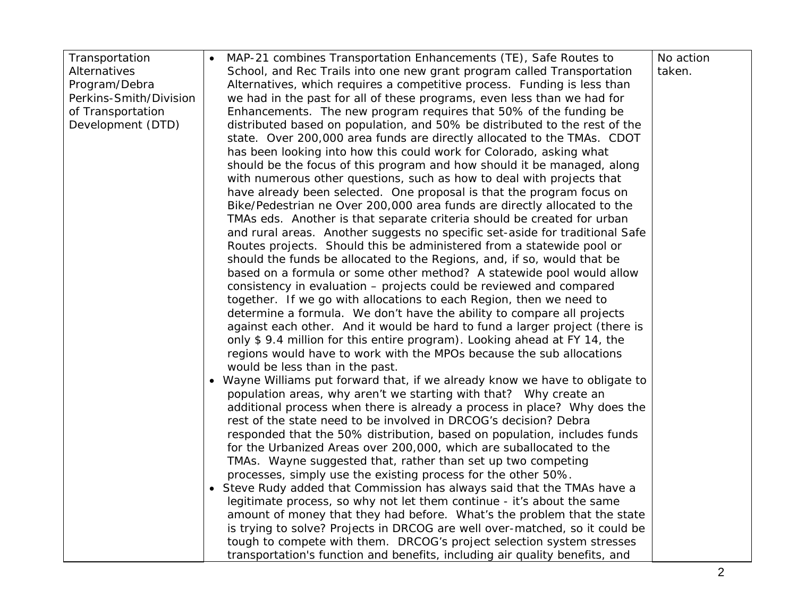| Transportation         | MAP-21 combines Transportation Enhancements (TE), Safe Routes to             | No action |
|------------------------|------------------------------------------------------------------------------|-----------|
| Alternatives           | School, and Rec Trails into one new grant program called Transportation      | taken.    |
| Program/Debra          | Alternatives, which requires a competitive process. Funding is less than     |           |
| Perkins-Smith/Division | we had in the past for all of these programs, even less than we had for      |           |
| of Transportation      | Enhancements. The new program requires that 50% of the funding be            |           |
| Development (DTD)      | distributed based on population, and 50% be distributed to the rest of the   |           |
|                        | state. Over 200,000 area funds are directly allocated to the TMAs. CDOT      |           |
|                        | has been looking into how this could work for Colorado, asking what          |           |
|                        | should be the focus of this program and how should it be managed, along      |           |
|                        | with numerous other questions, such as how to deal with projects that        |           |
|                        | have already been selected. One proposal is that the program focus on        |           |
|                        | Bike/Pedestrian ne Over 200,000 area funds are directly allocated to the     |           |
|                        | TMAs eds. Another is that separate criteria should be created for urban      |           |
|                        | and rural areas. Another suggests no specific set-aside for traditional Safe |           |
|                        | Routes projects. Should this be administered from a statewide pool or        |           |
|                        | should the funds be allocated to the Regions, and, if so, would that be      |           |
|                        | based on a formula or some other method? A statewide pool would allow        |           |
|                        | consistency in evaluation - projects could be reviewed and compared          |           |
|                        | together. If we go with allocations to each Region, then we need to          |           |
|                        | determine a formula. We don't have the ability to compare all projects       |           |
|                        | against each other. And it would be hard to fund a larger project (there is  |           |
|                        | only \$9.4 million for this entire program). Looking ahead at FY 14, the     |           |
|                        | regions would have to work with the MPOs because the sub allocations         |           |
|                        | would be less than in the past.                                              |           |
|                        | • Wayne Williams put forward that, if we already know we have to obligate to |           |
|                        | population areas, why aren't we starting with that? Why create an            |           |
|                        | additional process when there is already a process in place? Why does the    |           |
|                        | rest of the state need to be involved in DRCOG's decision? Debra             |           |
|                        | responded that the 50% distribution, based on population, includes funds     |           |
|                        | for the Urbanized Areas over 200,000, which are suballocated to the          |           |
|                        | TMAs. Wayne suggested that, rather than set up two competing                 |           |
|                        | processes, simply use the existing process for the other 50%.                |           |
|                        | • Steve Rudy added that Commission has always said that the TMAs have a      |           |
|                        | legitimate process, so why not let them continue - it's about the same       |           |
|                        | amount of money that they had before. What's the problem that the state      |           |
|                        | is trying to solve? Projects in DRCOG are well over-matched, so it could be  |           |
|                        | tough to compete with them. DRCOG's project selection system stresses        |           |
|                        | transportation's function and benefits, including air quality benefits, and  |           |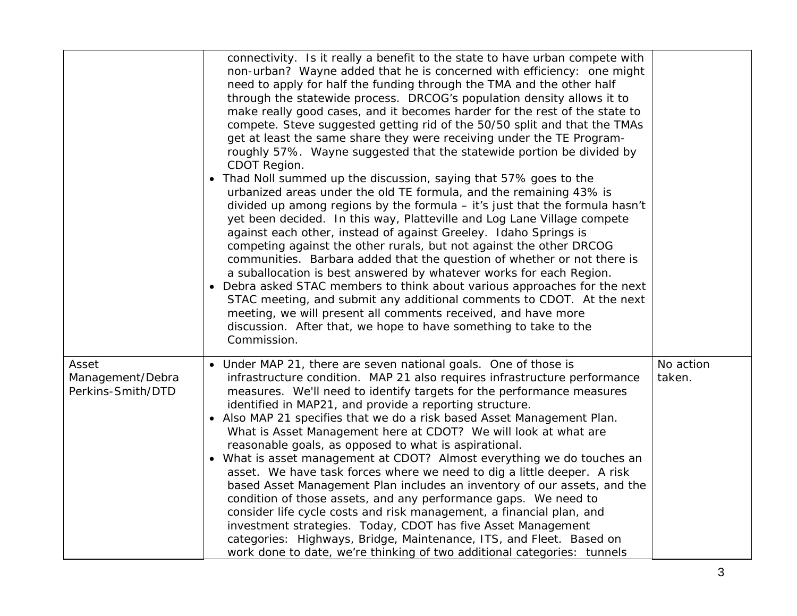|                                                | connectivity. Is it really a benefit to the state to have urban compete with<br>non-urban? Wayne added that he is concerned with efficiency: one might<br>need to apply for half the funding through the TMA and the other half<br>through the statewide process. DRCOG's population density allows it to<br>make really good cases, and it becomes harder for the rest of the state to<br>compete. Steve suggested getting rid of the 50/50 split and that the TMAs<br>get at least the same share they were receiving under the TE Program-<br>roughly 57%. Wayne suggested that the statewide portion be divided by<br>CDOT Region.<br>Thad Noll summed up the discussion, saying that 57% goes to the<br>$\bullet$<br>urbanized areas under the old TE formula, and the remaining 43% is<br>divided up among regions by the formula - it's just that the formula hasn't<br>yet been decided. In this way, Platteville and Log Lane Village compete<br>against each other, instead of against Greeley. Idaho Springs is<br>competing against the other rurals, but not against the other DRCOG<br>communities. Barbara added that the question of whether or not there is<br>a suballocation is best answered by whatever works for each Region.<br>Debra asked STAC members to think about various approaches for the next<br>STAC meeting, and submit any additional comments to CDOT. At the next<br>meeting, we will present all comments received, and have more<br>discussion. After that, we hope to have something to take to the<br>Commission. |                     |
|------------------------------------------------|-------------------------------------------------------------------------------------------------------------------------------------------------------------------------------------------------------------------------------------------------------------------------------------------------------------------------------------------------------------------------------------------------------------------------------------------------------------------------------------------------------------------------------------------------------------------------------------------------------------------------------------------------------------------------------------------------------------------------------------------------------------------------------------------------------------------------------------------------------------------------------------------------------------------------------------------------------------------------------------------------------------------------------------------------------------------------------------------------------------------------------------------------------------------------------------------------------------------------------------------------------------------------------------------------------------------------------------------------------------------------------------------------------------------------------------------------------------------------------------------------------------------------------------------------------------|---------------------|
| Asset<br>Management/Debra<br>Perkins-Smith/DTD | • Under MAP 21, there are seven national goals. One of those is<br>infrastructure condition. MAP 21 also requires infrastructure performance<br>measures. We'll need to identify targets for the performance measures<br>identified in MAP21, and provide a reporting structure.<br>Also MAP 21 specifies that we do a risk based Asset Management Plan.<br>What is Asset Management here at CDOT? We will look at what are<br>reasonable goals, as opposed to what is aspirational.<br>What is asset management at CDOT? Almost everything we do touches an<br>asset. We have task forces where we need to dig a little deeper. A risk<br>based Asset Management Plan includes an inventory of our assets, and the<br>condition of those assets, and any performance gaps. We need to<br>consider life cycle costs and risk management, a financial plan, and<br>investment strategies. Today, CDOT has five Asset Management<br>categories: Highways, Bridge, Maintenance, ITS, and Fleet. Based on<br>work done to date, we're thinking of two additional categories: tunnels                                                                                                                                                                                                                                                                                                                                                                                                                                                                            | No action<br>taken. |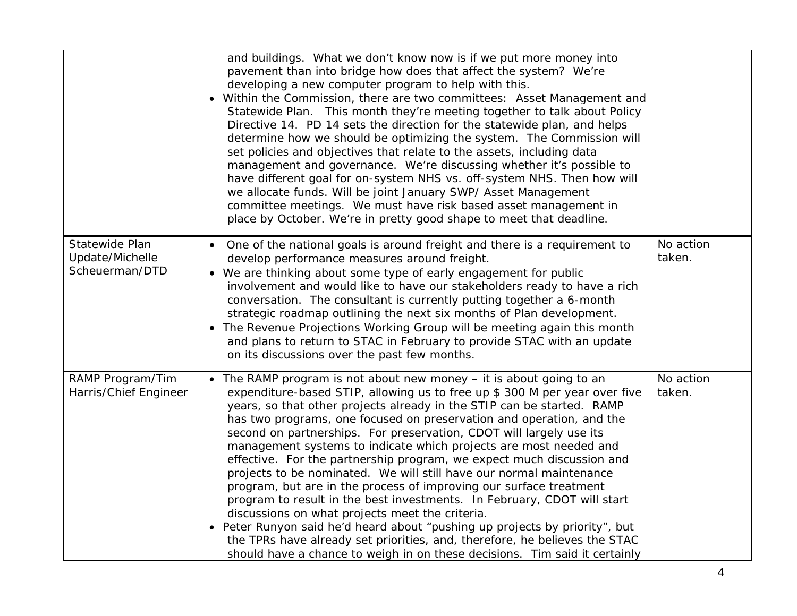|                                                     | and buildings. What we don't know now is if we put more money into<br>pavement than into bridge how does that affect the system? We're<br>developing a new computer program to help with this.<br>• Within the Commission, there are two committees: Asset Management and<br>Statewide Plan. This month they're meeting together to talk about Policy<br>Directive 14. PD 14 sets the direction for the statewide plan, and helps<br>determine how we should be optimizing the system. The Commission will<br>set policies and objectives that relate to the assets, including data<br>management and governance. We're discussing whether it's possible to<br>have different goal for on-system NHS vs. off-system NHS. Then how will<br>we allocate funds. Will be joint January SWP/ Asset Management<br>committee meetings. We must have risk based asset management in<br>place by October. We're in pretty good shape to meet that deadline.                                                                                           |                     |
|-----------------------------------------------------|----------------------------------------------------------------------------------------------------------------------------------------------------------------------------------------------------------------------------------------------------------------------------------------------------------------------------------------------------------------------------------------------------------------------------------------------------------------------------------------------------------------------------------------------------------------------------------------------------------------------------------------------------------------------------------------------------------------------------------------------------------------------------------------------------------------------------------------------------------------------------------------------------------------------------------------------------------------------------------------------------------------------------------------------|---------------------|
| Statewide Plan<br>Update/Michelle<br>Scheuerman/DTD | One of the national goals is around freight and there is a requirement to<br>develop performance measures around freight.<br>• We are thinking about some type of early engagement for public<br>involvement and would like to have our stakeholders ready to have a rich<br>conversation. The consultant is currently putting together a 6-month<br>strategic roadmap outlining the next six months of Plan development.<br>The Revenue Projections Working Group will be meeting again this month<br>and plans to return to STAC in February to provide STAC with an update<br>on its discussions over the past few months.                                                                                                                                                                                                                                                                                                                                                                                                                | No action<br>taken. |
| RAMP Program/Tim<br>Harris/Chief Engineer           | • The RAMP program is not about new money - it is about going to an<br>expenditure-based STIP, allowing us to free up \$ 300 M per year over five<br>years, so that other projects already in the STIP can be started. RAMP<br>has two programs, one focused on preservation and operation, and the<br>second on partnerships. For preservation, CDOT will largely use its<br>management systems to indicate which projects are most needed and<br>effective. For the partnership program, we expect much discussion and<br>projects to be nominated. We will still have our normal maintenance<br>program, but are in the process of improving our surface treatment<br>program to result in the best investments. In February, CDOT will start<br>discussions on what projects meet the criteria.<br>Peter Runyon said he'd heard about "pushing up projects by priority", but<br>the TPRs have already set priorities, and, therefore, he believes the STAC<br>should have a chance to weigh in on these decisions. Tim said it certainly | No action<br>taken. |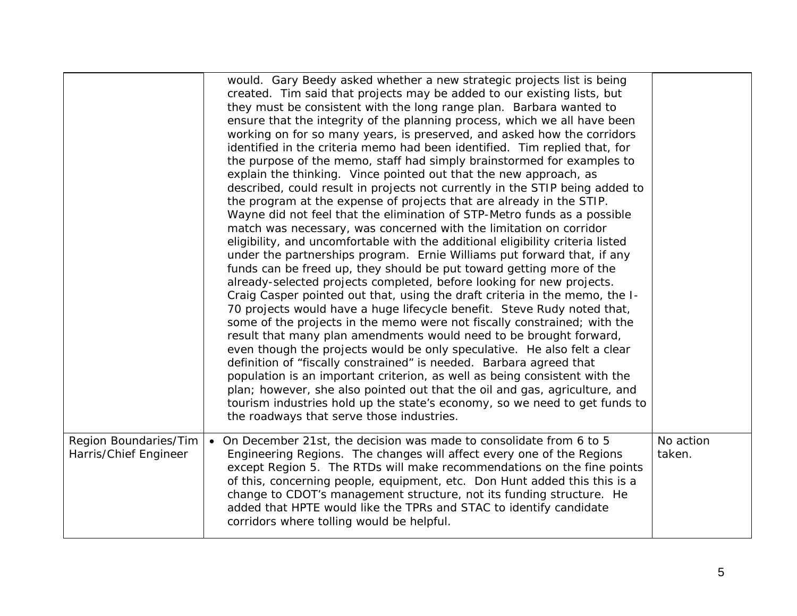|                                                | would. Gary Beedy asked whether a new strategic projects list is being<br>created. Tim said that projects may be added to our existing lists, but<br>they must be consistent with the long range plan. Barbara wanted to<br>ensure that the integrity of the planning process, which we all have been<br>working on for so many years, is preserved, and asked how the corridors<br>identified in the criteria memo had been identified. Tim replied that, for<br>the purpose of the memo, staff had simply brainstormed for examples to<br>explain the thinking. Vince pointed out that the new approach, as<br>described, could result in projects not currently in the STIP being added to<br>the program at the expense of projects that are already in the STIP.<br>Wayne did not feel that the elimination of STP-Metro funds as a possible<br>match was necessary, was concerned with the limitation on corridor<br>eligibility, and uncomfortable with the additional eligibility criteria listed<br>under the partnerships program. Ernie Williams put forward that, if any<br>funds can be freed up, they should be put toward getting more of the<br>already-selected projects completed, before looking for new projects.<br>Craig Casper pointed out that, using the draft criteria in the memo, the I-<br>70 projects would have a huge lifecycle benefit. Steve Rudy noted that,<br>some of the projects in the memo were not fiscally constrained; with the<br>result that many plan amendments would need to be brought forward,<br>even though the projects would be only speculative. He also felt a clear<br>definition of "fiscally constrained" is needed. Barbara agreed that<br>population is an important criterion, as well as being consistent with the<br>plan; however, she also pointed out that the oil and gas, agriculture, and<br>tourism industries hold up the state's economy, so we need to get funds to<br>the roadways that serve those industries. |                     |
|------------------------------------------------|---------------------------------------------------------------------------------------------------------------------------------------------------------------------------------------------------------------------------------------------------------------------------------------------------------------------------------------------------------------------------------------------------------------------------------------------------------------------------------------------------------------------------------------------------------------------------------------------------------------------------------------------------------------------------------------------------------------------------------------------------------------------------------------------------------------------------------------------------------------------------------------------------------------------------------------------------------------------------------------------------------------------------------------------------------------------------------------------------------------------------------------------------------------------------------------------------------------------------------------------------------------------------------------------------------------------------------------------------------------------------------------------------------------------------------------------------------------------------------------------------------------------------------------------------------------------------------------------------------------------------------------------------------------------------------------------------------------------------------------------------------------------------------------------------------------------------------------------------------------------------------------------------------------------------------------------------------------------------------------------|---------------------|
| Region Boundaries/Tim<br>Harris/Chief Engineer | On December 21st, the decision was made to consolidate from 6 to 5<br>Engineering Regions. The changes will affect every one of the Regions<br>except Region 5. The RTDs will make recommendations on the fine points<br>of this, concerning people, equipment, etc. Don Hunt added this this is a<br>change to CDOT's management structure, not its funding structure. He<br>added that HPTE would like the TPRs and STAC to identify candidate<br>corridors where tolling would be helpful.                                                                                                                                                                                                                                                                                                                                                                                                                                                                                                                                                                                                                                                                                                                                                                                                                                                                                                                                                                                                                                                                                                                                                                                                                                                                                                                                                                                                                                                                                               | No action<br>taken. |